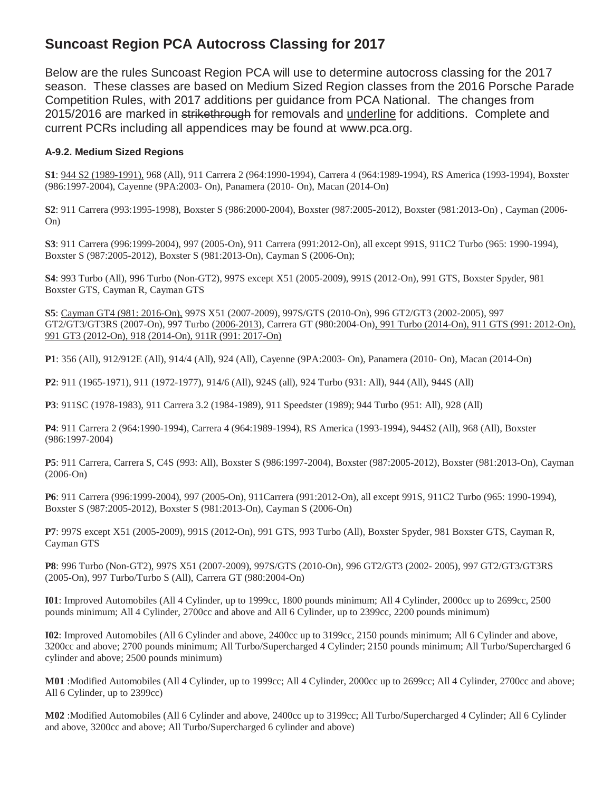# **Suncoast Region PCA Autocross Classing for 2017**

Below are the rules Suncoast Region PCA will use to determine autocross classing for the 2017 season. These classes are based on Medium Sized Region classes from the 2016 Porsche Parade Competition Rules, with 2017 additions per guidance from PCA National. The changes from 2015/2016 are marked in strikethrough for removals and underline for additions. Complete and current PCRs including all appendices may be found at www.pca.org.

## **A-9.2. Medium Sized Regions**

**S1**: 944 S2 (1989-1991), 968 (All), 911 Carrera 2 (964:1990-1994), Carrera 4 (964:1989-1994), RS America (1993-1994), Boxster (986:1997-2004), Cayenne (9PA:2003- On), Panamera (2010- On), Macan (2014-On)

**S2**: 911 Carrera (993:1995-1998), Boxster S (986:2000-2004), Boxster (987:2005-2012), Boxster (981:2013-On) , Cayman (2006- On)

**S3**: 911 Carrera (996:1999-2004), 997 (2005-On), 911 Carrera (991:2012-On), all except 991S, 911C2 Turbo (965: 1990-1994), Boxster S (987:2005-2012), Boxster S (981:2013-On), Cayman S (2006-On);

**S4**: 993 Turbo (All), 996 Turbo (Non-GT2), 997S except X51 (2005-2009), 991S (2012-On), 991 GTS, Boxster Spyder, 981 Boxster GTS, Cayman R, Cayman GTS

**S5**: Cayman GT4 (981: 2016-On), 997S X51 (2007-2009), 997S/GTS (2010-On), 996 GT2/GT3 (2002-2005), 997 GT2/GT3/GT3RS (2007-On), 997 Turbo (2006-2013), Carrera GT (980:2004-On), 991 Turbo (2014-On), 911 GTS (991: 2012-On), 991 GT3 (2012-On), 918 (2014-On), 911R (991: 2017-On)

**P1**: 356 (All), 912/912E (All), 914/4 (All), 924 (All), Cayenne (9PA:2003- On), Panamera (2010- On), Macan (2014-On)

**P2**: 911 (1965-1971), 911 (1972-1977), 914/6 (All), 924S (all), 924 Turbo (931: All), 944 (All), 944S (All)

**P3**: 911SC (1978-1983), 911 Carrera 3.2 (1984-1989), 911 Speedster (1989); 944 Turbo (951: All), 928 (All)

**P4**: 911 Carrera 2 (964:1990-1994), Carrera 4 (964:1989-1994), RS America (1993-1994), 944S2 (All), 968 (All), Boxster (986:1997-2004)

**P5**: 911 Carrera, Carrera S, C4S (993: All), Boxster S (986:1997-2004), Boxster (987:2005-2012), Boxster (981:2013-On), Cayman (2006-On)

**P6**: 911 Carrera (996:1999-2004), 997 (2005-On), 911Carrera (991:2012-On), all except 991S, 911C2 Turbo (965: 1990-1994), Boxster S (987:2005-2012), Boxster S (981:2013-On), Cayman S (2006-On)

**P7**: 997S except X51 (2005-2009), 991S (2012-On), 991 GTS, 993 Turbo (All), Boxster Spyder, 981 Boxster GTS, Cayman R, Cayman GTS

**P8**: 996 Turbo (Non-GT2), 997S X51 (2007-2009), 997S/GTS (2010-On), 996 GT2/GT3 (2002- 2005), 997 GT2/GT3/GT3RS (2005-On), 997 Turbo/Turbo S (All), Carrera GT (980:2004-On)

**I01**: Improved Automobiles (All 4 Cylinder, up to 1999cc, 1800 pounds minimum; All 4 Cylinder, 2000cc up to 2699cc, 2500 pounds minimum; All 4 Cylinder, 2700cc and above and All 6 Cylinder, up to 2399cc, 2200 pounds minimum)

**I02**: Improved Automobiles (All 6 Cylinder and above, 2400cc up to 3199cc, 2150 pounds minimum; All 6 Cylinder and above, 3200cc and above; 2700 pounds minimum; All Turbo/Supercharged 4 Cylinder; 2150 pounds minimum; All Turbo/Supercharged 6 cylinder and above; 2500 pounds minimum)

**M01** :Modified Automobiles (All 4 Cylinder, up to 1999cc; All 4 Cylinder, 2000cc up to 2699cc; All 4 Cylinder, 2700cc and above; All 6 Cylinder, up to 2399cc)

**M02** :Modified Automobiles (All 6 Cylinder and above, 2400cc up to 3199cc; All Turbo/Supercharged 4 Cylinder; All 6 Cylinder and above, 3200cc and above; All Turbo/Supercharged 6 cylinder and above)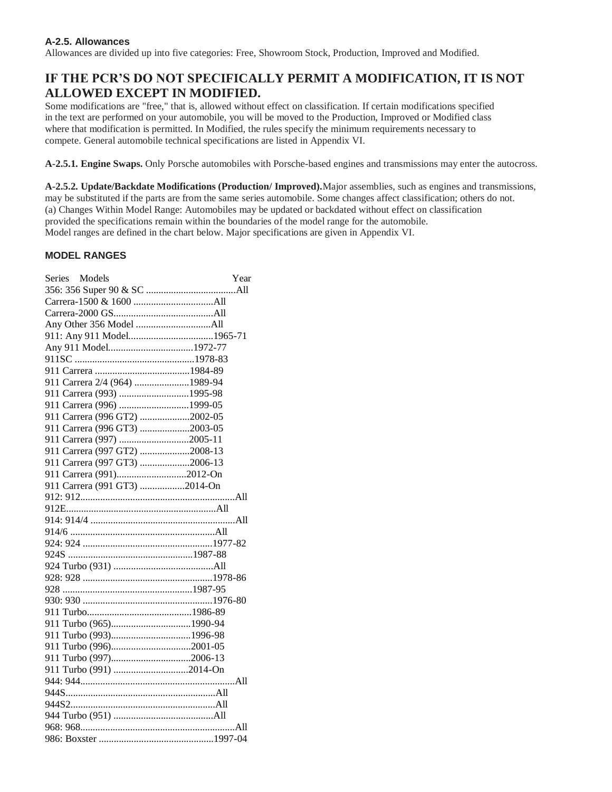## **A-2.5. Allowances**

Allowances are divided up into five categories: Free, Showroom Stock, Production, Improved and Modified.

## **IF THE PCR'S DO NOT SPECIFICALLY PERMIT A MODIFICATION, IT IS NOT ALLOWED EXCEPT IN MODIFIED.**

Some modifications are "free," that is, allowed without effect on classification. If certain modifications specified in the text are performed on your automobile, you will be moved to the Production, Improved or Modified class where that modification is permitted. In Modified, the rules specify the minimum requirements necessary to compete. General automobile technical specifications are listed in Appendix VI.

**A-2.5.1. Engine Swaps.** Only Porsche automobiles with Porsche-based engines and transmissions may enter the autocross.

**A-2.5.2. Update/Backdate Modifications (Production/ Improved).**Major assemblies, such as engines and transmissions, may be substituted if the parts are from the same series automobile. Some changes affect classification; others do not. (a) Changes Within Model Range: Automobiles may be updated or backdated without effect on classification provided the specifications remain within the boundaries of the model range for the automobile. Model ranges are defined in the chart below. Major specifications are given in Appendix VI.

## **MODEL RANGES**

| Series Models                 | Year |
|-------------------------------|------|
|                               |      |
|                               |      |
|                               |      |
|                               |      |
| 911: Any 911 Model1965-71     |      |
| Any 911 Model1972-77          |      |
|                               |      |
|                               |      |
| 911 Carrera 2/4 (964) 1989-94 |      |
| 911 Carrera (993) 1995-98     |      |
| 911 Carrera (996) 1999-05     |      |
| 911 Carrera (996 GT2) 2002-05 |      |
| 911 Carrera (996 GT3) 2003-05 |      |
| 911 Carrera (997) 2005-11     |      |
| 911 Carrera (997 GT2) 2008-13 |      |
| 911 Carrera (997 GT3) 2006-13 |      |
| 911 Carrera (991)2012-On      |      |
| 911 Carrera (991 GT3) 2014-On |      |
|                               |      |
|                               |      |
|                               |      |
|                               |      |
|                               |      |
|                               |      |
|                               |      |
|                               |      |
|                               |      |
|                               |      |
|                               |      |
| 911 Turbo (965)1990-94        |      |
| 911 Turbo (993)1996-98        |      |
| 911 Turbo (996)2001-05        |      |
| 911 Turbo (997)2006-13        |      |
| 911 Turbo (991) 2014-On       |      |
|                               |      |
|                               |      |
|                               |      |
|                               |      |
|                               |      |
|                               |      |
|                               |      |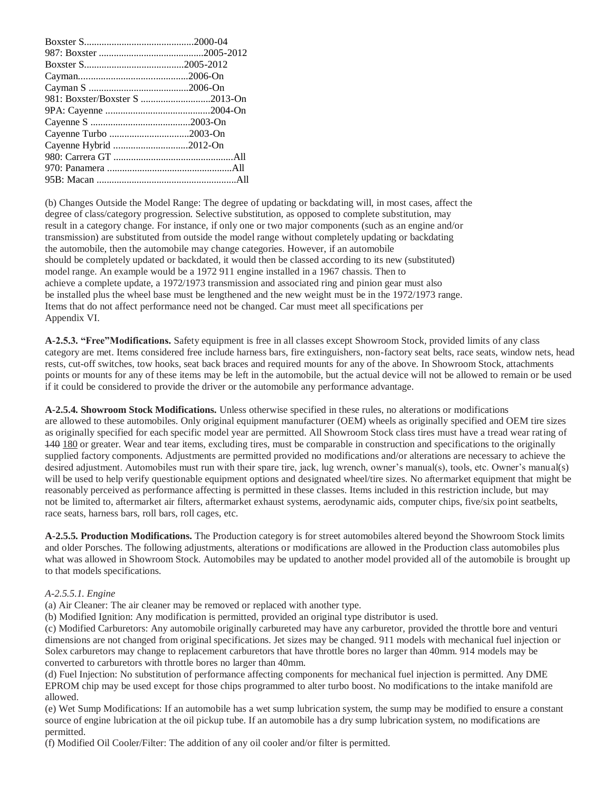| Cayenne Turbo 2003-On  |  |
|------------------------|--|
| Cayenne Hybrid 2012-On |  |
|                        |  |
|                        |  |
|                        |  |

(b) Changes Outside the Model Range: The degree of updating or backdating will, in most cases, affect the degree of class/category progression. Selective substitution, as opposed to complete substitution, may result in a category change. For instance, if only one or two major components (such as an engine and/or transmission) are substituted from outside the model range without completely updating or backdating the automobile, then the automobile may change categories. However, if an automobile should be completely updated or backdated, it would then be classed according to its new (substituted) model range. An example would be a 1972 911 engine installed in a 1967 chassis. Then to achieve a complete update, a 1972/1973 transmission and associated ring and pinion gear must also be installed plus the wheel base must be lengthened and the new weight must be in the 1972/1973 range. Items that do not affect performance need not be changed. Car must meet all specifications per Appendix VI.

**A-2.5.3. "Free"Modifications.** Safety equipment is free in all classes except Showroom Stock, provided limits of any class category are met. Items considered free include harness bars, fire extinguishers, non-factory seat belts, race seats, window nets, head rests, cut-off switches, tow hooks, seat back braces and required mounts for any of the above. In Showroom Stock, attachments points or mounts for any of these items may be left in the automobile, but the actual device will not be allowed to remain or be used if it could be considered to provide the driver or the automobile any performance advantage.

**A-2.5.4. Showroom Stock Modifications.** Unless otherwise specified in these rules, no alterations or modifications are allowed to these automobiles. Only original equipment manufacturer (OEM) wheels as originally specified and OEM tire sizes as originally specified for each specific model year are permitted. All Showroom Stock class tires must have a tread wear rating of 140 180 or greater. Wear and tear items, excluding tires, must be comparable in construction and specifications to the originally supplied factory components. Adjustments are permitted provided no modifications and/or alterations are necessary to achieve the desired adjustment. Automobiles must run with their spare tire, jack, lug wrench, owner's manual(s), tools, etc. Owner's manual(s) will be used to help verify questionable equipment options and designated wheel/tire sizes. No aftermarket equipment that might be reasonably perceived as performance affecting is permitted in these classes. Items included in this restriction include, but may not be limited to, aftermarket air filters, aftermarket exhaust systems, aerodynamic aids, computer chips, five/six point seatbelts, race seats, harness bars, roll bars, roll cages, etc.

**A-2.5.5. Production Modifications.** The Production category is for street automobiles altered beyond the Showroom Stock limits and older Porsches. The following adjustments, alterations or modifications are allowed in the Production class automobiles plus what was allowed in Showroom Stock. Automobiles may be updated to another model provided all of the automobile is brought up to that models specifications.

#### *A-2.5.5.1. Engine*

(a) Air Cleaner: The air cleaner may be removed or replaced with another type.

(b) Modified Ignition: Any modification is permitted, provided an original type distributor is used.

(c) Modified Carburetors: Any automobile originally carbureted may have any carburetor, provided the throttle bore and venturi dimensions are not changed from original specifications. Jet sizes may be changed. 911 models with mechanical fuel injection or Solex carburetors may change to replacement carburetors that have throttle bores no larger than 40mm. 914 models may be converted to carburetors with throttle bores no larger than 40mm.

(d) Fuel Injection: No substitution of performance affecting components for mechanical fuel injection is permitted. Any DME EPROM chip may be used except for those chips programmed to alter turbo boost. No modifications to the intake manifold are allowed.

(e) Wet Sump Modifications: If an automobile has a wet sump lubrication system, the sump may be modified to ensure a constant source of engine lubrication at the oil pickup tube. If an automobile has a dry sump lubrication system, no modifications are permitted.

(f) Modified Oil Cooler/Filter: The addition of any oil cooler and/or filter is permitted.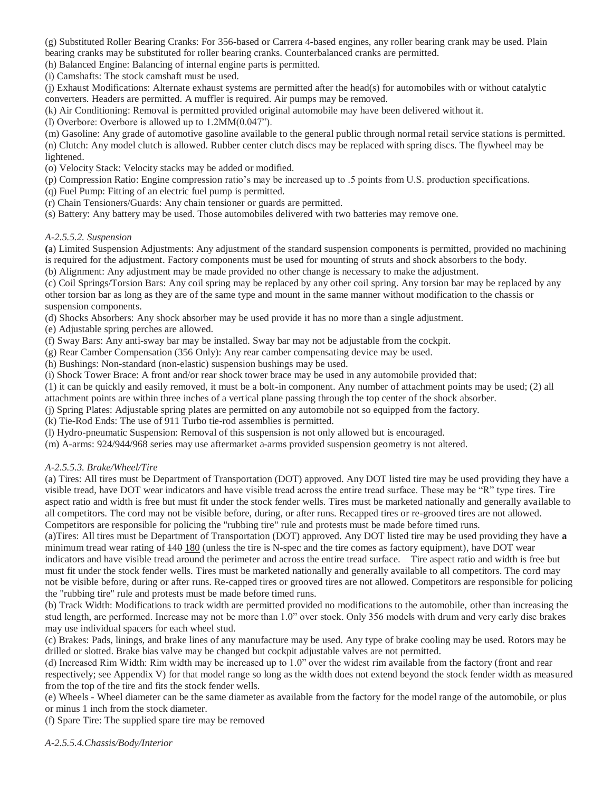(g) Substituted Roller Bearing Cranks: For 356-based or Carrera 4-based engines, any roller bearing crank may be used. Plain bearing cranks may be substituted for roller bearing cranks. Counterbalanced cranks are permitted.

(h) Balanced Engine: Balancing of internal engine parts is permitted.

(i) Camshafts: The stock camshaft must be used.

(j) Exhaust Modifications: Alternate exhaust systems are permitted after the head(s) for automobiles with or without catalytic converters. Headers are permitted. A muffler is required. Air pumps may be removed.

(k) Air Conditioning: Removal is permitted provided original automobile may have been delivered without it.

(l) Overbore: Overbore is allowed up to 1.2MM(0.047").

(m) Gasoline: Any grade of automotive gasoline available to the general public through normal retail service stations is permitted. (n) Clutch: Any model clutch is allowed. Rubber center clutch discs may be replaced with spring discs. The flywheel may be lightened.

(o) Velocity Stack: Velocity stacks may be added or modified.

(p) Compression Ratio: Engine compression ratio's may be increased up to .5 points from U.S. production specifications.

(q) Fuel Pump: Fitting of an electric fuel pump is permitted.

(r) Chain Tensioners/Guards: Any chain tensioner or guards are permitted.

(s) Battery: Any battery may be used. Those automobiles delivered with two batteries may remove one.

#### *A-2.5.5.2. Suspension*

**(**a) Limited Suspension Adjustments: Any adjustment of the standard suspension components is permitted, provided no machining is required for the adjustment. Factory components must be used for mounting of struts and shock absorbers to the body.

(b) Alignment: Any adjustment may be made provided no other change is necessary to make the adjustment.

(c) Coil Springs/Torsion Bars: Any coil spring may be replaced by any other coil spring. Any torsion bar may be replaced by any other torsion bar as long as they are of the same type and mount in the same manner without modification to the chassis or suspension components.

(d) Shocks Absorbers: Any shock absorber may be used provide it has no more than a single adjustment.

(e) Adjustable spring perches are allowed.

(f) Sway Bars: Any anti-sway bar may be installed. Sway bar may not be adjustable from the cockpit.

(g) Rear Camber Compensation (356 Only): Any rear camber compensating device may be used.

(h) Bushings: Non-standard (non-elastic) suspension bushings may be used.

(i) Shock Tower Brace: A front and/or rear shock tower brace may be used in any automobile provided that:

(1) it can be quickly and easily removed, it must be a bolt-in component. Any number of attachment points may be used; (2) all

attachment points are within three inches of a vertical plane passing through the top center of the shock absorber.

(j) Spring Plates: Adjustable spring plates are permitted on any automobile not so equipped from the factory.

(k) Tie-Rod Ends: The use of 911 Turbo tie-rod assemblies is permitted.

(l) Hydro-pneumatic Suspension: Removal of this suspension is not only allowed but is encouraged.

(m) A-arms: 924/944/968 series may use aftermarket a-arms provided suspension geometry is not altered.

## *A-2.5.5.3. Brake/Wheel/Tire*

(a) Tires: All tires must be Department of Transportation (DOT) approved. Any DOT listed tire may be used providing they have a visible tread, have DOT wear indicators and have visible tread across the entire tread surface. These may be "R" type tires. Tire aspect ratio and width is free but must fit under the stock fender wells. Tires must be marketed nationally and generally available to all competitors. The cord may not be visible before, during, or after runs. Recapped tires or re-grooved tires are not allowed. Competitors are responsible for policing the "rubbing tire" rule and protests must be made before timed runs.

(a)Tires: All tires must be Department of Transportation (DOT) approved. Any DOT listed tire may be used providing they have **a**  minimum tread wear rating of  $\frac{140}{180}$  (unless the tire is N-spec and the tire comes as factory equipment), have DOT wear indicators and have visible tread around the perimeter and across the entire tread surface. Tire aspect ratio and width is free but must fit under the stock fender wells. Tires must be marketed nationally and generally available to all competitors. The cord may not be visible before, during or after runs. Re-capped tires or grooved tires are not allowed. Competitors are responsible for policing the "rubbing tire" rule and protests must be made before timed runs.

(b) Track Width: Modifications to track width are permitted provided no modifications to the automobile, other than increasing the stud length, are performed. Increase may not be more than 1.0" over stock. Only 356 models with drum and very early disc brakes may use individual spacers for each wheel stud.

(c) Brakes: Pads, linings, and brake lines of any manufacture may be used. Any type of brake cooling may be used. Rotors may be drilled or slotted. Brake bias valve may be changed but cockpit adjustable valves are not permitted.

(d) Increased Rim Width: Rim width may be increased up to 1.0" over the widest rim available from the factory (front and rear respectively; see Appendix V) for that model range so long as the width does not extend beyond the stock fender width as measured from the top of the tire and fits the stock fender wells.

(e) Wheels - Wheel diameter can be the same diameter as available from the factory for the model range of the automobile, or plus or minus 1 inch from the stock diameter.

(f) Spare Tire: The supplied spare tire may be removed

*A-2.5.5.4.Chassis/Body/Interior*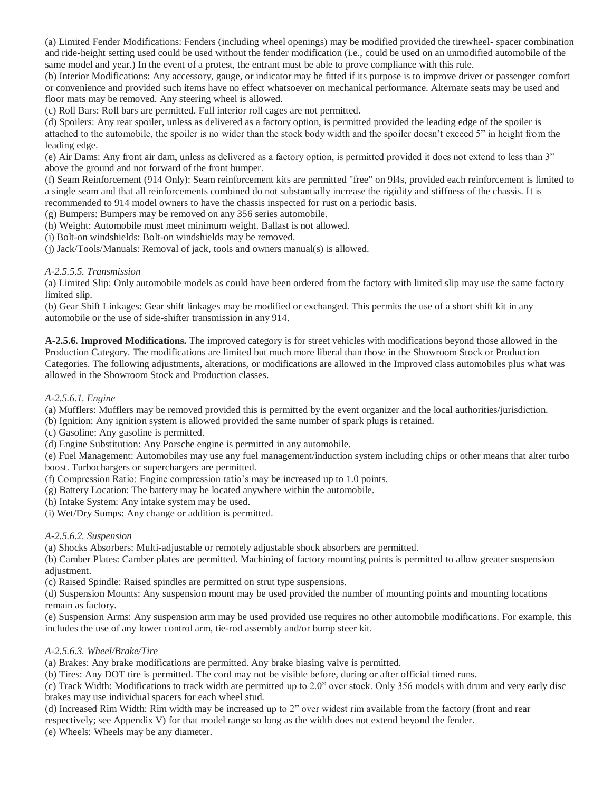(a) Limited Fender Modifications: Fenders (including wheel openings) may be modified provided the tirewheel- spacer combination and ride-height setting used could be used without the fender modification (i.e., could be used on an unmodified automobile of the same model and year.) In the event of a protest, the entrant must be able to prove compliance with this rule.

(b) Interior Modifications: Any accessory, gauge, or indicator may be fitted if its purpose is to improve driver or passenger comfort or convenience and provided such items have no effect whatsoever on mechanical performance. Alternate seats may be used and floor mats may be removed. Any steering wheel is allowed.

(c) Roll Bars: Roll bars are permitted. Full interior roll cages are not permitted.

(d) Spoilers: Any rear spoiler, unless as delivered as a factory option, is permitted provided the leading edge of the spoiler is attached to the automobile, the spoiler is no wider than the stock body width and the spoiler doesn't exceed 5" in height from the leading edge.

(e) Air Dams: Any front air dam, unless as delivered as a factory option, is permitted provided it does not extend to less than 3" above the ground and not forward of the front bumper.

(f) Seam Reinforcement (914 Only): Seam reinforcement kits are permitted "free" on 9l4s, provided each reinforcement is limited to a single seam and that all reinforcements combined do not substantially increase the rigidity and stiffness of the chassis. It is recommended to 914 model owners to have the chassis inspected for rust on a periodic basis.

(g) Bumpers: Bumpers may be removed on any 356 series automobile.

(h) Weight: Automobile must meet minimum weight. Ballast is not allowed.

(i) Bolt-on windshields: Bolt-on windshields may be removed.

(j) Jack/Tools/Manuals: Removal of jack, tools and owners manual(s) is allowed.

#### *A-2.5.5.5. Transmission*

(a) Limited Slip: Only automobile models as could have been ordered from the factory with limited slip may use the same factory limited slip.

(b) Gear Shift Linkages: Gear shift linkages may be modified or exchanged. This permits the use of a short shift kit in any automobile or the use of side-shifter transmission in any 914.

**A-2.5.6. Improved Modifications.** The improved category is for street vehicles with modifications beyond those allowed in the Production Category. The modifications are limited but much more liberal than those in the Showroom Stock or Production Categories. The following adjustments, alterations, or modifications are allowed in the Improved class automobiles plus what was allowed in the Showroom Stock and Production classes.

#### *A-2.5.6.1. Engine*

(a) Mufflers: Mufflers may be removed provided this is permitted by the event organizer and the local authorities/jurisdiction.

(b) Ignition: Any ignition system is allowed provided the same number of spark plugs is retained.

(c) Gasoline: Any gasoline is permitted.

(d) Engine Substitution: Any Porsche engine is permitted in any automobile.

(e) Fuel Management: Automobiles may use any fuel management/induction system including chips or other means that alter turbo boost. Turbochargers or superchargers are permitted.

(f) Compression Ratio: Engine compression ratio's may be increased up to 1.0 points.

(g) Battery Location: The battery may be located anywhere within the automobile.

(h) Intake System: Any intake system may be used.

(i) Wet/Dry Sumps: Any change or addition is permitted.

#### *A-2.5.6.2. Suspension*

(a) Shocks Absorbers: Multi-adjustable or remotely adjustable shock absorbers are permitted.

(b) Camber Plates: Camber plates are permitted. Machining of factory mounting points is permitted to allow greater suspension adjustment.

(c) Raised Spindle: Raised spindles are permitted on strut type suspensions.

(d) Suspension Mounts: Any suspension mount may be used provided the number of mounting points and mounting locations remain as factory.

(e) Suspension Arms: Any suspension arm may be used provided use requires no other automobile modifications. For example, this includes the use of any lower control arm, tie-rod assembly and/or bump steer kit.

## *A-2.5.6.3. Wheel/Brake/Tire*

(a) Brakes: Any brake modifications are permitted. Any brake biasing valve is permitted.

(b) Tires: Any DOT tire is permitted. The cord may not be visible before, during or after official timed runs.

(c) Track Width: Modifications to track width are permitted up to 2.0" over stock. Only 356 models with drum and very early disc brakes may use individual spacers for each wheel stud.

(d) Increased Rim Width: Rim width may be increased up to 2" over widest rim available from the factory (front and rear

respectively; see Appendix V) for that model range so long as the width does not extend beyond the fender.

(e) Wheels: Wheels may be any diameter.